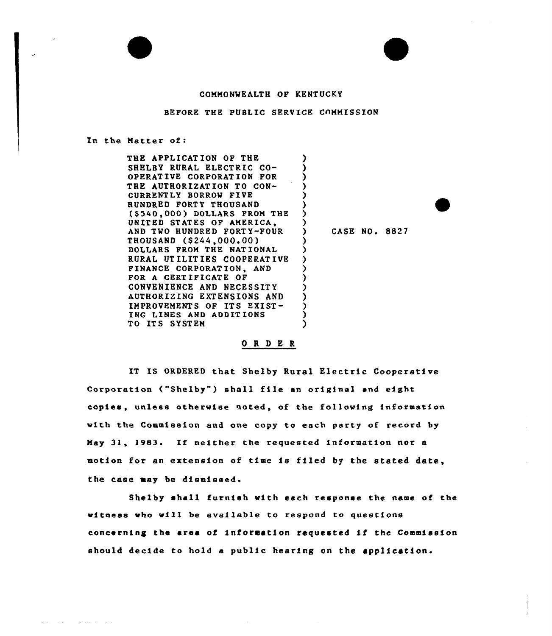## COMMONWEALTH OF KENTUCKY

## BEFORE THE PUBLIC SERVICE COMMISSION

## In the Matter of:

والمتعطف والمحاسب

THE APPLICATION OF THE SHELBY RURAL ELECTRIC CO-OPERATIVE CORPORATION FOR THE AUTHORIZATION TO CON-CURRENTLY BORROW FIVE HUNDRED FORTY THOUSAND (\$540,000) DOLLARS FROM THE UNIT ED ST AT ES OF AMERICA, AND TWO HUNDRED FORTY-FOUR THOUSAND (\$244,000~00) DOLLARS FROM THE NATIONAL RURAL UT ILIT IES COOPERAT I VE FINANCE CORPORATION, AND FOR <sup>A</sup> CERT IFICATE OF CONVENIENCE AND NECESSITY AUTHORIZING EXTENSIONS AND IMPROVEMENTS OF ITS EXIST-INC LINES AND ADDIT IONS TO ITS SYSTEM ) ) ) )  $\frac{1}{2}$ ) .<br>? ) ) ) ) ) ) ) ) ) ) )

) CASE NO. 8827

## ORDER

IT IS ORDERED that Shelby Rural Electric Cooperative Corporation ("Shelby") shall file an original and eight copies, unless otherwise noted, of the following information with the Commission and one copy to each party of record by May 31, 1983- If neither the requested information nor <sup>a</sup> motion for an extension of time is filed by the stated date. the case may be dismiseed.

Shelby shall furnish with each response the name of the witness who will be eveilable to respond to questions concerning the area of information requested if the Commission should decide to hold a public hearing on the application.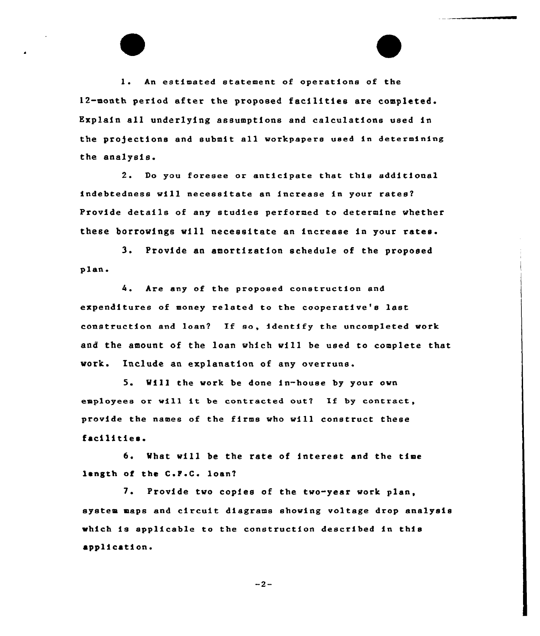l. An estimated statement of operations of the 12-month period after the proposed facilities are completed. Explain all underlying assumptions and calculations used in the projections and submit all workpapere used in determining the analysis.

2. Do you foresee or anticipate that this additional indebtedness will necessitate an increase in your rates? Provide details of any studies performed to determine whether these borrowings will necessitate an increase in your rates.

3. Provide an amortisation schedule of the proposed plan.

4. Are any of the proposed construction and expenditures of money related to the cooperative's last construction and loan'l If so, identify the uncompleted work and the amount of the loan which will be used to complete that work. Include an explanation of any overruns.

5. Will the work be done in-house by your own employees or will it be contracted out? If by contract, provide the names of the firms who will construct these facilities.

6. What will be the rate of interest and the time length of the C.F.C. loan?

7. Provide two copies of the two-year work plan, system maps and circuit diagrams showing voltage drop analysis which is applicable to the construction described in this application.

 $-2-$